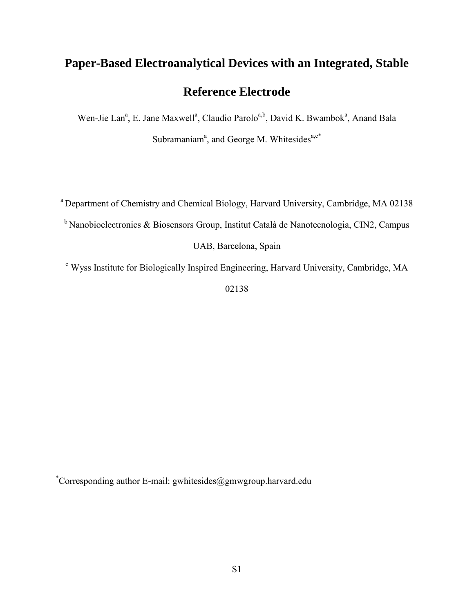# **Paper-Based Electroanalytical Devices with an Integrated, Stable Reference Electrode**

Wen-Jie Lan<sup>a</sup>, E. Jane Maxwell<sup>a</sup>, Claudio Parolo<sup>a,b</sup>, David K. Bwambok<sup>a</sup>, Anand Bala Subramaniam<sup>a</sup>, and George M. Whitesides<sup>a,c\*</sup>

<sup>a</sup> Department of Chemistry and Chemical Biology, Harvard University, Cambridge, MA 02138

 $<sup>b</sup>$  Nanobioelectronics & Biosensors Group, Institut Català de Nanotecnologia, CIN2, Campus</sup>

UAB, Barcelona, Spain

<sup>c</sup> Wyss Institute for Biologically Inspired Engineering, Harvard University, Cambridge, MA

02138

\*Corresponding author E-mail: gwhitesides@gmwgroup.harvard.edu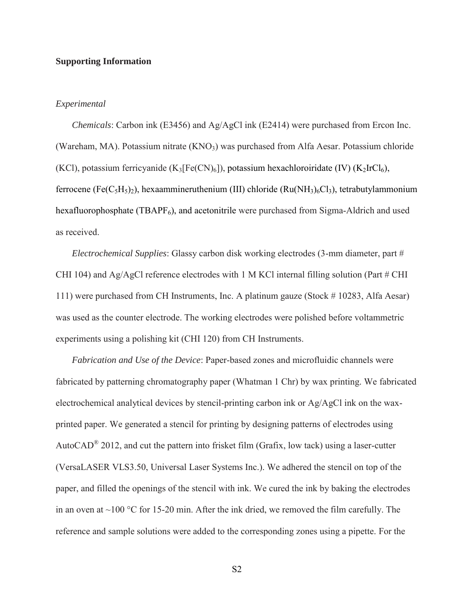# **Supporting Information**

# *Experimental*

*Chemicals*: Carbon ink (E3456) and Ag/AgCl ink (E2414) were purchased from Ercon Inc. (Wareham, MA). Potassium nitrate  $(KNO<sub>3</sub>)$  was purchased from Alfa Aesar. Potassium chloride (KCl), potassium ferricyanide (K<sub>3</sub>[Fe(CN)<sub>6</sub>]), potassium hexachloroiridate (IV) (K<sub>2</sub>IrCl<sub>6</sub>), ferrocene (Fe(C<sub>5</sub>H<sub>5</sub>)<sub>2</sub>), hexaammineruthenium (III) chloride (Ru(NH<sub>3</sub>)<sub>6</sub>Cl<sub>3</sub>), tetrabutylammonium hexafluorophosphate (TBAPF<sub>6</sub>), and acetonitrile were purchased from Sigma-Aldrich and used as received.

*Electrochemical Supplies*: Glassy carbon disk working electrodes (3-mm diameter, part # CHI 104) and Ag/AgCl reference electrodes with 1 M KCl internal filling solution (Part  $#$  CHI 111) were purchased from CH Instruments, Inc. A platinum gauze (Stock # 10283, Alfa Aesar) was used as the counter electrode. The working electrodes were polished before voltammetric experiments using a polishing kit (CHI 120) from CH Instruments.

*Fabrication and Use of the Device*: Paper-based zones and microfluidic channels were fabricated by patterning chromatography paper (Whatman 1 Chr) by wax printing. We fabricated electrochemical analytical devices by stencil-printing carbon ink or Ag/AgCl ink on the waxprinted paper. We generated a stencil for printing by designing patterns of electrodes using AutoCAD<sup>®</sup> 2012, and cut the pattern into frisket film (Grafix, low tack) using a laser-cutter (VersaLASER VLS3.50, Universal Laser Systems Inc.). We adhered the stencil on top of the paper, and filled the openings of the stencil with ink. We cured the ink by baking the electrodes in an oven at  $\sim$ 100 °C for 15-20 min. After the ink dried, we removed the film carefully. The reference and sample solutions were added to the corresponding zones using a pipette. For the

S2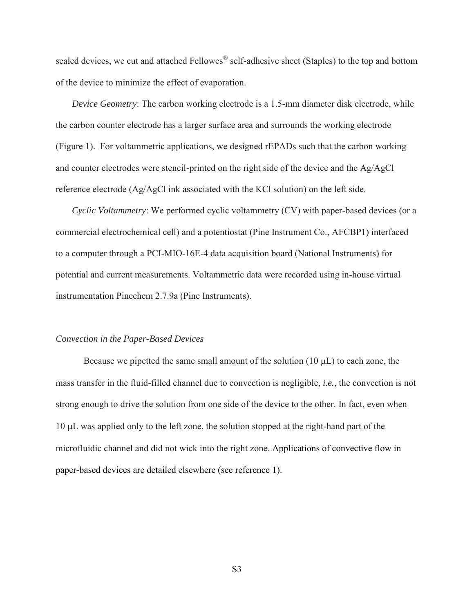sealed devices, we cut and attached Fellowes<sup>®</sup> self-adhesive sheet (Staples) to the top and bottom of the device to minimize the effect of evaporation.

*Device Geometry*: The carbon working electrode is a 1.5-mm diameter disk electrode, while the carbon counter electrode has a larger surface area and surrounds the working electrode (Figure 1). For voltammetric applications, we designed rEPADs such that the carbon working and counter electrodes were stencil-printed on the right side of the device and the Ag/AgCl reference electrode (Ag/AgCl ink associated with the KCl solution) on the left side.

*Cyclic Voltammetry*: We performed cyclic voltammetry (CV) with paper-based devices (or a commercial electrochemical cell) and a potentiostat (Pine Instrument Co., AFCBP1) interfaced to a computer through a PCI-MIO-16E-4 data acquisition board (National Instruments) for potential and current measurements. Voltammetric data were recorded using in-house virtual instrumentation Pinechem 2.7.9a (Pine Instruments).

#### *Convection in the Paper-Based Devices*

Because we pipetted the same small amount of the solution  $(10 \mu L)$  to each zone, the mass transfer in the fluid-filled channel due to convection is negligible, *i.e.*, the convection is not strong enough to drive the solution from one side of the device to the other. In fact, even when 10 L was applied only to the left zone, the solution stopped at the right-hand part of the microfluidic channel and did not wick into the right zone. Applications of convective flow in paper-based devices are detailed elsewhere (see reference 1).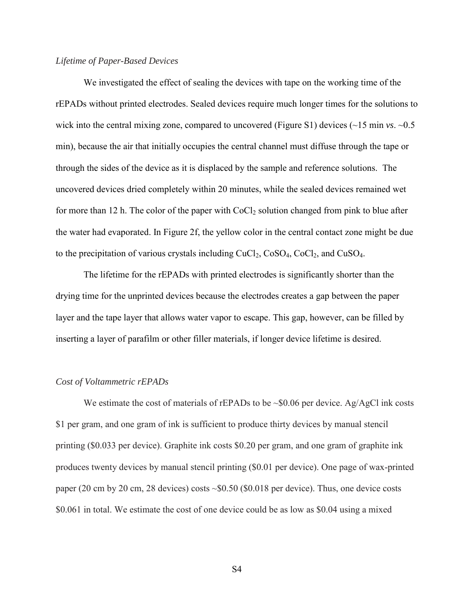# *Lifetime of Paper-Based Devices*

We investigated the effect of sealing the devices with tape on the working time of the rEPADs without printed electrodes. Sealed devices require much longer times for the solutions to wick into the central mixing zone, compared to uncovered (Figure S1) devices (~15 min *vs*. ~0.5 min), because the air that initially occupies the central channel must diffuse through the tape or through the sides of the device as it is displaced by the sample and reference solutions. The uncovered devices dried completely within 20 minutes, while the sealed devices remained wet for more than 12 h. The color of the paper with  $CoCl<sub>2</sub>$  solution changed from pink to blue after the water had evaporated. In Figure 2f, the yellow color in the central contact zone might be due to the precipitation of various crystals including  $CuCl<sub>2</sub>, CoSO<sub>4</sub>, CoCl<sub>2</sub>, and CuSO<sub>4</sub>.$ 

The lifetime for the rEPADs with printed electrodes is significantly shorter than the drying time for the unprinted devices because the electrodes creates a gap between the paper layer and the tape layer that allows water vapor to escape. This gap, however, can be filled by inserting a layer of parafilm or other filler materials, if longer device lifetime is desired.

# *Cost of Voltammetric rEPADs*

We estimate the cost of materials of rEPADs to be  $\sim 0.06$  per device. Ag/AgCl ink costs \$1 per gram, and one gram of ink is sufficient to produce thirty devices by manual stencil printing (\$0.033 per device). Graphite ink costs \$0.20 per gram, and one gram of graphite ink produces twenty devices by manual stencil printing (\$0.01 per device). One page of wax-printed paper (20 cm by 20 cm, 28 devices) costs  $\sim$ \$0.50 (\$0.018 per device). Thus, one device costs \$0.061 in total. We estimate the cost of one device could be as low as \$0.04 using a mixed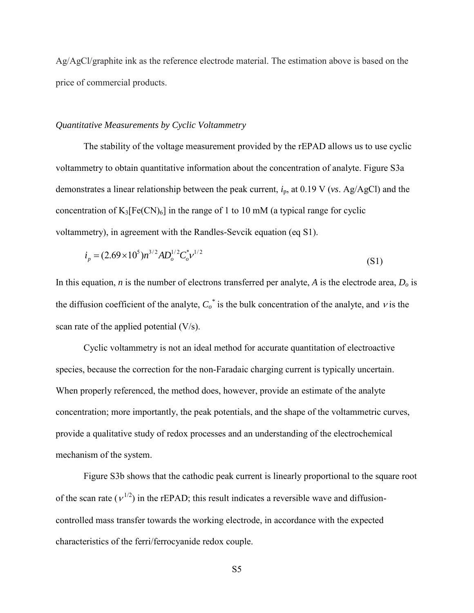Ag/AgCl/graphite ink as the reference electrode material. The estimation above is based on the price of commercial products.

# *Quantitative Measurements by Cyclic Voltammetry*

The stability of the voltage measurement provided by the rEPAD allows us to use cyclic voltammetry to obtain quantitative information about the concentration of analyte. Figure S3a demonstrates a linear relationship between the peak current, *i*p, at 0.19 V (*vs*. Ag/AgCl) and the concentration of  $K_3[Fe(CN)_6]$  in the range of 1 to 10 mM (a typical range for cyclic voltammetry), in agreement with the Randles*-*Sevcik equation (eq S1).

$$
i_p = (2.69 \times 10^5) n^{3/2} A D_o^{1/2} C_o^* v^{1/2}
$$
\n(S1)

In this equation, *n* is the number of electrons transferred per analyte, *A* is the electrode area,  $D<sub>o</sub>$  is the diffusion coefficient of the analyte,  $C_o^*$  is the bulk concentration of the analyte, and  $v$  is the scan rate of the applied potential (V/s).

Cyclic voltammetry is not an ideal method for accurate quantitation of electroactive species, because the correction for the non-Faradaic charging current is typically uncertain. When properly referenced, the method does, however, provide an estimate of the analyte concentration; more importantly, the peak potentials, and the shape of the voltammetric curves, provide a qualitative study of redox processes and an understanding of the electrochemical mechanism of the system.

Figure S3b shows that the cathodic peak current is linearly proportional to the square root of the scan rate ( $v^{1/2}$ ) in the rEPAD; this result indicates a reversible wave and diffusioncontrolled mass transfer towards the working electrode, in accordance with the expected characteristics of the ferri/ferrocyanide redox couple.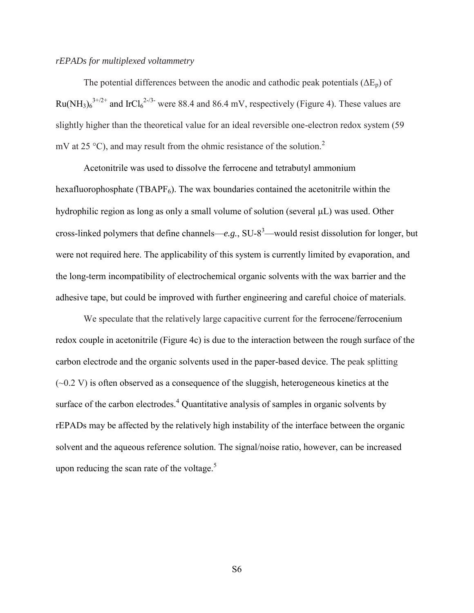# *rEPADs for multiplexed voltammetry*

The potential differences between the anodic and cathodic peak potentials  $(\Delta E_p)$  of Ru(NH<sub>3</sub>) $6^{3+/2+}$  and IrCl $6^{2-7/3-}$  were 88.4 and 86.4 mV, respectively (Figure 4). These values are slightly higher than the theoretical value for an ideal reversible one-electron redox system (59 mV at 25  $^{\circ}$ C), and may result from the ohmic resistance of the solution.<sup>2</sup>

Acetonitrile was used to dissolve the ferrocene and tetrabutyl ammonium hexafluorophosphate (TBAPF $_6$ ). The wax boundaries contained the acetonitrile within the hydrophilic region as long as only a small volume of solution (several  $\mu L$ ) was used. Other cross-linked polymers that define channels— $e.g., SU-8<sup>3</sup>$ —would resist dissolution for longer, but were not required here. The applicability of this system is currently limited by evaporation, and the long-term incompatibility of electrochemical organic solvents with the wax barrier and the adhesive tape, but could be improved with further engineering and careful choice of materials.

We speculate that the relatively large capacitive current for the ferrocene/ferrocenium redox couple in acetonitrile (Figure 4c) is due to the interaction between the rough surface of the carbon electrode and the organic solvents used in the paper-based device. The peak splitting  $(\sim 0.2 \text{ V})$  is often observed as a consequence of the sluggish, heterogeneous kinetics at the surface of the carbon electrodes.<sup>4</sup> Quantitative analysis of samples in organic solvents by rEPADs may be affected by the relatively high instability of the interface between the organic solvent and the aqueous reference solution. The signal/noise ratio, however, can be increased upon reducing the scan rate of the voltage. $5$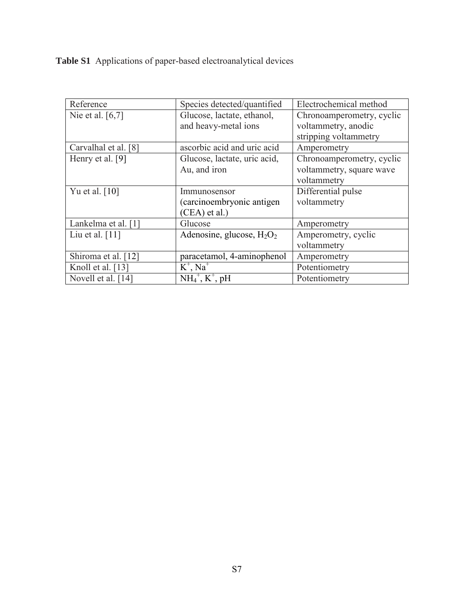**Table S1** Applications of paper-based electroanalytical devices

| Reference                    | Species detected/quantified                      | Electrochemical method    |
|------------------------------|--------------------------------------------------|---------------------------|
| Nie et al. $[6,7]$           | Glucose, lactate, ethanol,                       | Chronoamperometry, cyclic |
|                              | and heavy-metal ions                             | voltammetry, anodic       |
|                              |                                                  | stripping voltammetry     |
| Carvalhal et al. [8]         | ascorbic acid and uric acid                      | Amperometry               |
| Henry et al. [9]             | Glucose, lactate, uric acid,                     | Chronoamperometry, cyclic |
|                              | Au, and iron                                     | voltammetry, square wave  |
|                              |                                                  | voltammetry               |
| Yu et al. $\lceil 10 \rceil$ | Immunosensor                                     | Differential pulse        |
|                              | (carcinoembryonic antigen                        | voltammetry               |
|                              | (CEA) et al.)                                    |                           |
| Lankelma et al. [1]          | Glucose                                          | Amperometry               |
| Liu et al. $[11]$            | Adenosine, glucose, $H_2O_2$                     | Amperometry, cyclic       |
|                              |                                                  | voltammetry               |
| Shiroma et al. [12]          | paracetamol, 4-aminophenol                       | Amperometry               |
| Knoll et al. [13]            | $K^+$ , Na <sup>+</sup>                          | Potentiometry             |
| Novell et al. [14]           | $\overline{\text{NH}_4}^+$ , K <sup>+</sup> , pH | Potentiometry             |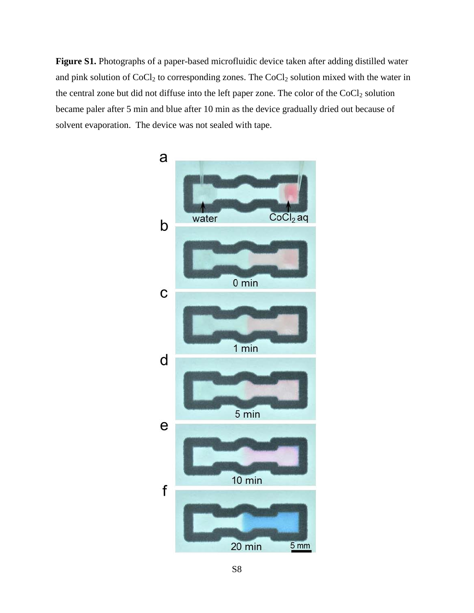**Figure S1.** Photographs of a paper-based microfluidic device taken after adding distilled water and pink solution of  $CoCl<sub>2</sub>$  to corresponding zones. The  $CoCl<sub>2</sub>$  solution mixed with the water in the central zone but did not diffuse into the left paper zone. The color of the  $CoCl<sub>2</sub>$  solution became paler after 5 min and blue after 10 min as the device gradually dried out because of solvent evaporation. The device was not sealed with tape.

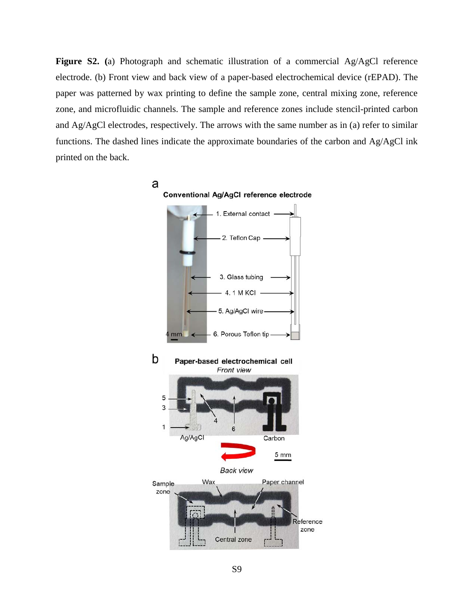**Figure S2. (**a) Photograph and schematic illustration of a commercial Ag/AgCl reference electrode. (b) Front view and back view of a paper-based electrochemical device (rEPAD). The paper was patterned by wax printing to define the sample zone, central mixing zone, reference zone, and microfluidic channels. The sample and reference zones include stencil-printed carbon and Ag/AgCl electrodes, respectively. The arrows with the same number as in (a) refer to similar functions. The dashed lines indicate the approximate boundaries of the carbon and Ag/AgCl ink printed on the back.

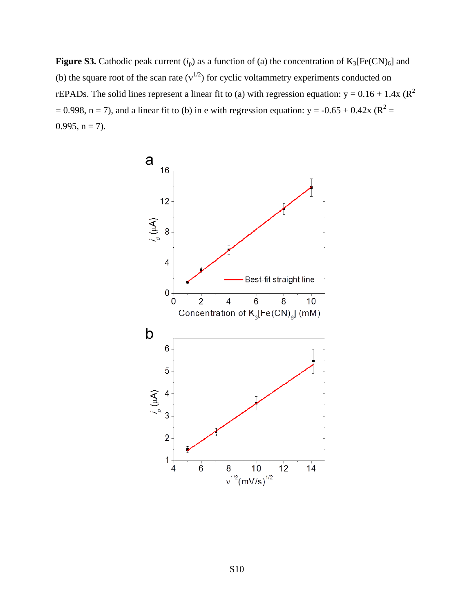**Figure S3.** Cathodic peak current  $(i_p)$  as a function of (a) the concentration of  $K_3[Fe(CN)_6]$  and (b) the square root of the scan rate  $(v^{1/2})$  for cyclic voltammetry experiments conducted on rEPADs. The solid lines represent a linear fit to (a) with regression equation:  $y = 0.16 + 1.4x$  ( $R^2$ )  $= 0.998$ , n = 7), and a linear fit to (b) in e with regression equation: y = -0.65 + 0.42x (R<sup>2</sup> =  $0.995$ ,  $n = 7$ ).